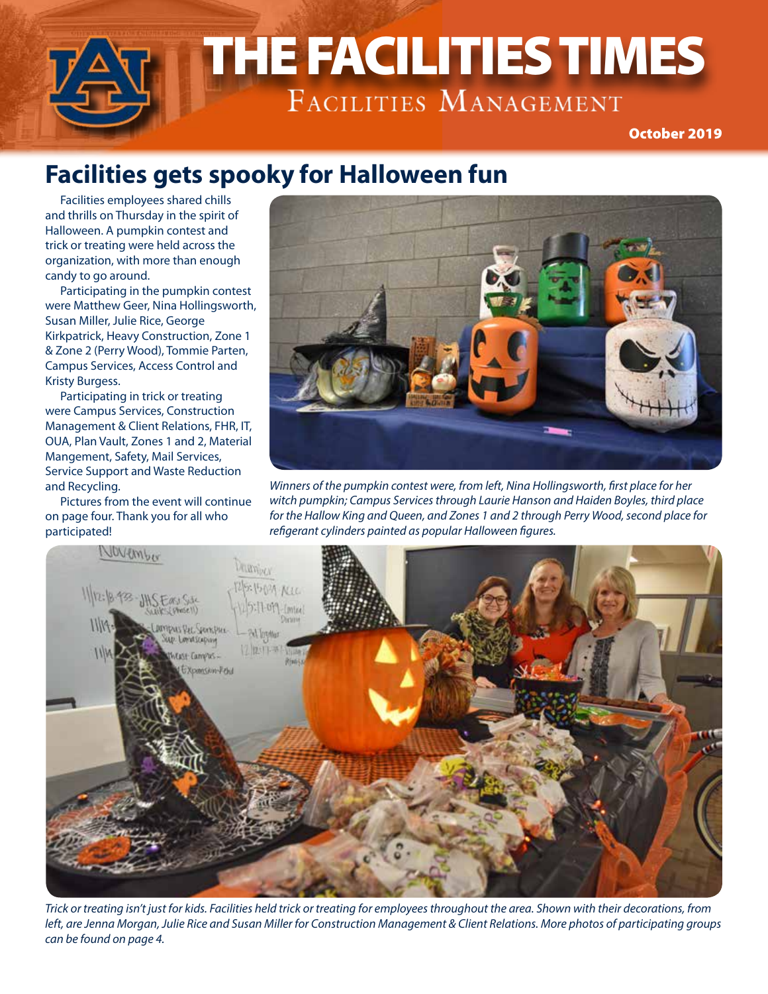# THE FACILITIES TIMES THE FACILITIES TIMES October 2019

## **Facilities gets spooky for Halloween fun**

Facilities employees shared chills and thrills on Thursday in the spirit of Halloween. A pumpkin contest and trick or treating were held across the organization, with more than enough candy to go around.

Participating in the pumpkin contest were Matthew Geer, Nina Hollingsworth, Susan Miller, Julie Rice, George Kirkpatrick, Heavy Construction, Zone 1 & Zone 2 (Perry Wood), Tommie Parten, Campus Services, Access Control and Kristy Burgess.

Participating in trick or treating were Campus Services, Construction Management & Client Relations, FHR, IT, OUA, Plan Vault, Zones 1 and 2, Material Mangement, Safety, Mail Services, Service Support and Waste Reduction and Recycling.

Pictures from the event will continue on page four. Thank you for all who participated!



*Winners of the pumpkin contest were, from left, Nina Hollingsworth, first place for her witch pumpkin; Campus Services through Laurie Hanson and Haiden Boyles, third place for the Hallow King and Queen, and Zones 1 and 2 through Perry Wood, second place for refigerant cylinders painted as popular Halloween figures.*



*Trick or treating isn't just for kids. Facilities held trick or treating for employees throughout the area. Shown with their decorations, from left, are Jenna Morgan, Julie Rice and Susan Miller for Construction Management & Client Relations. More photos of participating groups can be found on page 4.*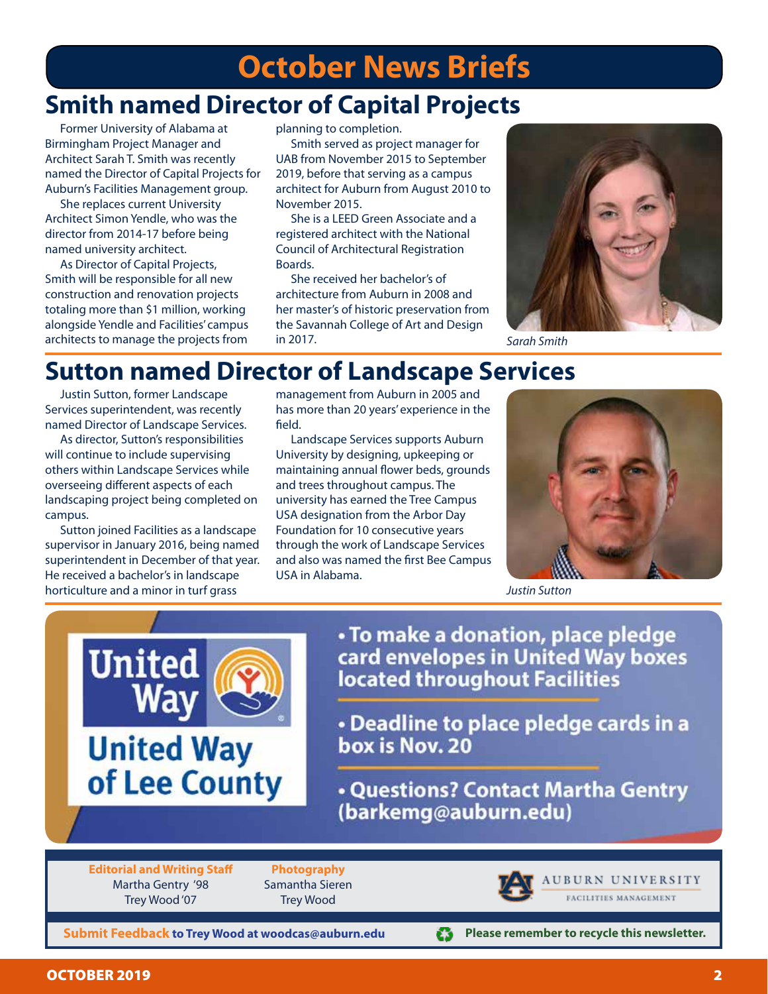# **October News Briefs**

#### **Smith named Director of Capital Projects**

Former University of Alabama at Birmingham Project Manager and Architect Sarah T. Smith was recently named the Director of Capital Projects for Auburn's Facilities Management group.

She replaces current University Architect Simon Yendle, who was the director from 2014-17 before being named university architect.

As Director of Capital Projects, Smith will be responsible for all new construction and renovation projects totaling more than \$1 million, working alongside Yendle and Facilities' campus architects to manage the projects from

planning to completion.

Smith served as project manager for UAB from November 2015 to September 2019, before that serving as a campus architect for Auburn from August 2010 to November 2015.

She is a LEED Green Associate and a registered architect with the National Council of Architectural Registration Boards.

She received her bachelor's of architecture from Auburn in 2008 and her master's of historic preservation from the Savannah College of Art and Design in 2017.



*Sarah Smith*

#### **Sutton named Director of Landscape Services**

Justin Sutton, former Landscape Services superintendent, was recently named Director of Landscape Services.

As director, Sutton's responsibilities will continue to include supervising others within Landscape Services while overseeing different aspects of each landscaping project being completed on campus.

Sutton joined Facilities as a landscape supervisor in January 2016, being named superintendent in December of that year. He received a bachelor's in landscape horticulture and a minor in turf grass

United

management from Auburn in 2005 and has more than 20 years' experience in the field.

Landscape Services supports Auburn University by designing, upkeeping or maintaining annual flower beds, grounds and trees throughout campus. The university has earned the Tree Campus USA designation from the Arbor Day Foundation for 10 consecutive years through the work of Landscape Services and also was named the first Bee Campus USA in Alabama.



*Justin Sutton*

· To make a donation, place pledge card envelopes in United Way boxes located throughout Facilities

• Deadline to place pledge cards in a box is Nov. 20

**. Questions? Contact Martha Gentry** (barkemg@auburn.edu)

**Editorial and Writing Staff** Martha Gentry '98 Trey Wood '07

**United Way** 

of Lee County

**Photography** Samantha Sieren Trey Wood



£3

AUBURN UNIVERSITY FACILITIES MANAGEMENT

**Please remember to recycle this newsletter.**

**Submit Feedback to Trey Wood at woodcas@auburn.edu**

OCTOBER 2019 2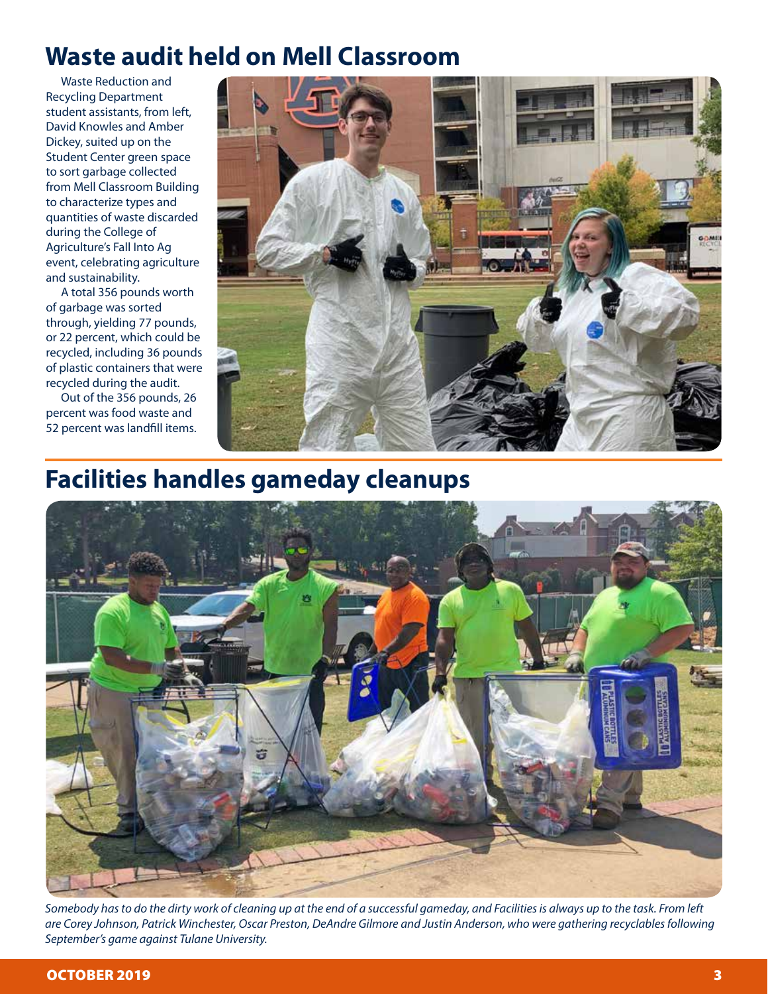#### **Waste audit held on Mell Classroom**

Waste Reduction and Recycling Department student assistants, from left, David Knowles and Amber Dickey, suited up on the Student Center green space to sort garbage collected from Mell Classroom Building to characterize types and quantities of waste discarded during the College of Agriculture's Fall Into Ag event, celebrating agriculture and sustainability.

A total 356 pounds worth of garbage was sorted through, yielding 77 pounds, or 22 percent, which could be recycled, including 36 pounds of plastic containers that were recycled during the audit.

Out of the 356 pounds, 26 percent was food waste and 52 percent was landfill items.



## **Facilities handles gameday cleanups**



*Somebody has to do the dirty work of cleaning up at the end of a successful gameday, and Facilities is always up to the task. From left are Corey Johnson, Patrick Winchester, Oscar Preston, DeAndre Gilmore and Justin Anderson, who were gathering recyclables following September's game against Tulane University.*